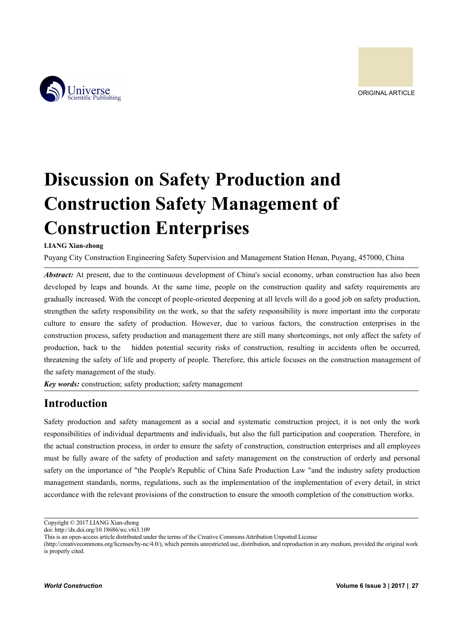



# **Discussion on Safety Production and Construction Safety Management of Construction Enterprises**

### **LIANG Xian-zhong**

Puyang City Construction Engineering Safety Supervision and Management Station Henan, Puyang, 457000, China

*Abstract:* At present, due to the continuous development of China's social economy, urban construction has also been developed by leaps and bounds. At the same time, people on the construction quality and safety requirements are gradually increased. With the concept of people-oriented deepening at all levels will do a good job on safety production, strengthen the safety responsibility on the work, so that the safety responsibility is more important into the corporate culture to ensure the safety of production. However, due to various factors, the construction enterprises in the construction process, safety production and management there are still many shortcomings, not only affect the safety of production, back to the hidden potential security risks of construction, resulting in accidents often be occurred, threatening the safety of life and property of people. Therefore, this article focuses on the construction management of the safety management of the study.

*Key words:* construction; safety production; safety management

### **Introduction**

Safety production and safety management as a social and systematic construction project, it is not only the work responsibilities of individual departments and individuals, but also the full participation and cooperation. Therefore, in the actual construction process, in order to ensure the safety of construction, construction enterprises and all employees must be fully aware of the safety of production and safety management on the construction of orderly and personal safety on the importance of "the People's Republic of China Safe Production Law "and the industry safety production management standards, norms, regulations, such as the implementation of the implementation of every detail, in strict accordance with the relevant provisions of the construction to ensure the smooth completion of the construction works.

Copyright © 2017 LIANG Xian-zhong

doi: http://dx.doi.org/10.18686/wc.v6i3.109

This is an open-access article distributed under the terms of the Creative Commons Attribution Unported License

<sup>(</sup>http://creativecommons.org/licenses/by-nc/4.0/), which permits unrestricted use, distribution, and reproduction in any medium, provided the original work is properly cited.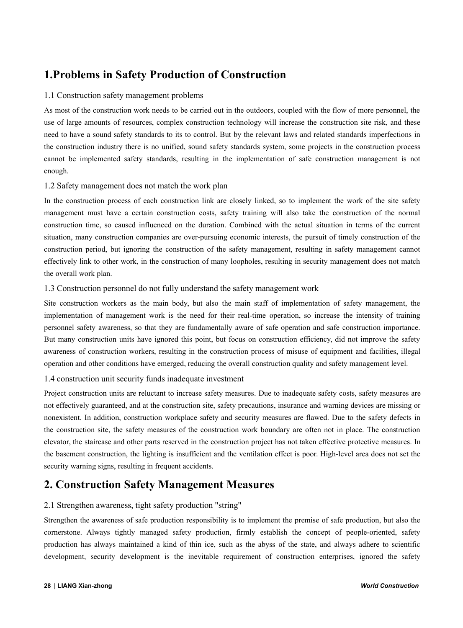## **1.Problems in Safety Production of Construction**

### 1.1 Construction safety management problems

As most of the construction work needs to be carried out in the outdoors, coupled with the flow of more personnel, the use of large amounts of resources, complex construction technology will increase the construction site risk, and these need to have a sound safety standards to its to control. But by the relevant laws and related standards imperfections in the construction industry there is no unified, sound safety standards system, some projects in the construction process cannot be implemented safety standards, resulting in the implementation of safe construction management is not enough.

### 1.2 Safety management does not match the work plan

In the construction process of each construction link are closely linked, so to implement the work of the site safety management must have a certain construction costs, safety training will also take the construction of the normal construction time, so caused influenced on the duration. Combined with the actual situation in terms of the current situation, many construction companies are over-pursuing economic interests, the pursuit of timely construction of the construction period, but ignoring the construction of the safety management, resulting in safety management cannot effectively link to other work, in the construction of many loopholes, resulting in security management does not match the overall work plan.

### 1.3 Construction personnel do not fully understand the safety management work

Site construction workers as the main body, but also the main staff of implementation of safety management, the implementation of management work is the need for their real-time operation, so increase the intensity of training personnel safety awareness, so that they are fundamentally aware of safe operation and safe construction importance. But many construction units have ignored this point, but focus on construction efficiency, did not improve the safety awareness of construction workers, resulting in the construction process of misuse of equipment and facilities, illegal operation and other conditions have emerged, reducing the overall construction quality and safety management level.

### 1.4 construction unit security funds inadequate investment

Project construction units are reluctant to increase safety measures. Due to inadequate safety costs, safety measures are not effectively guaranteed, and at the construction site, safety precautions, insurance and warning devices are missing or nonexistent. In addition, construction workplace safety and security measures are flawed. Due to the safety defects in the construction site, the safety measures of the construction work boundary are often not in place. The construction elevator, the staircase and other parts reserved in the construction project has not taken effective protective measures. In the basement construction, the lighting is insufficient and the ventilation effect is poor. High-level area does not set the security warning signs, resulting in frequent accidents.

### **2. Construction Safety Management Measures**

### 2.1 Strengthen awareness, tight safety production "string"

Strengthen the awareness of safe production responsibility is to implement the premise of safe production, but also the cornerstone. Always tightly managed safety production, firmly establish the concept of people-oriented, safety production has always maintained a kind of thin ice, such as the abyss of the state, and always adhere to scientific development, security development is the inevitable requirement of construction enterprises, ignored the safety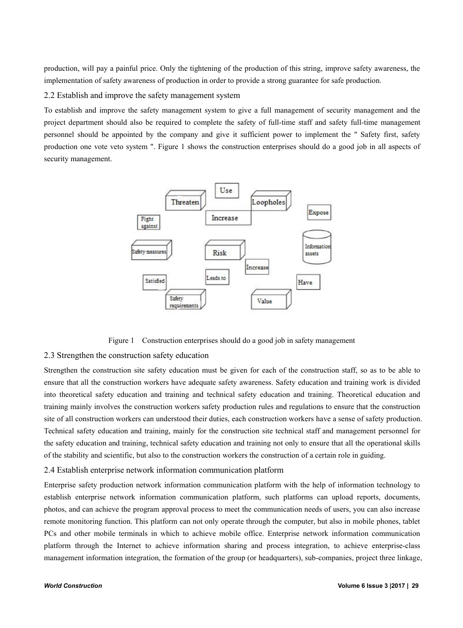production, will pay a painful price. Only the tightening of the production of this string, improve safety awareness, the implementation of safety awareness of production in order to provide a strong guarantee for safe production.

2.2 Establish and improve the safety management system

To establish and improve the safety management system to give a full management of security management and the project department should also be required to complete the safety of full-time staff and safety full-time management personnel should be appointed by the company and give it sufficient power to implement the " Safety first, safety production one vote veto system ". Figure 1 shows the construction enterprises should do a good job in all aspects of security management.



Figure 1 Construction enterprises should do a good job in safety management

### 2.3 Strengthen the construction safety education

Strengthen the construction site safety education must be given for each of the construction staff, so as to be able to ensure that all the construction workers have adequate safety awareness. Safety education and training work is divided into theoretical safety education and training and technical safety education and training. Theoretical education and training mainly involves the construction workers safety production rules and regulations to ensure that the construction site of all construction workers can understood their duties, each construction workers have a sense of safety production. Technical safety education and training, mainly for the construction site technical staff and management personnel for the safety education and training, technical safety education and training not only to ensure that all the operational skills of the stability and scientific, but also to the construction workers the construction of a certain role in guiding.

### 2.4 Establish enterprise network information communication platform

Enterprise safety production network information communication platform with the help of information technology to establish enterprise network information communication platform, such platforms can upload reports, documents, photos, and can achieve the program approval process to meet the communication needs of users, you can also increase remote monitoring function. This platform can not only operate through the computer, but also in mobile phones, tablet PCs and other mobile terminals in which to achieve mobile office. Enterprise network information communication platform through the Internet to achieve information sharing and process integration, to achieve enterprise-class management information integration, the formation of the group (or headquarters), sub-companies, project three linkage,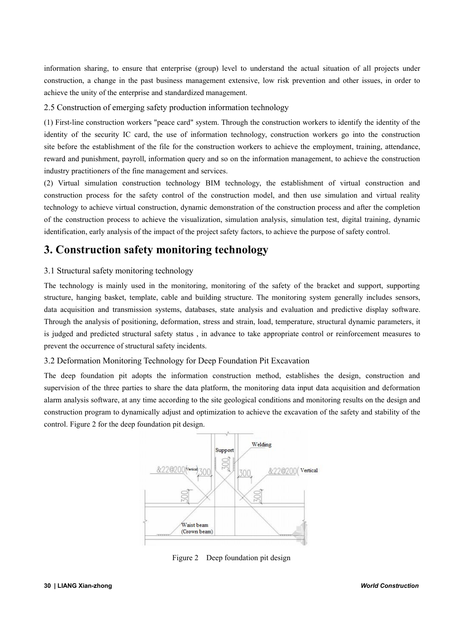information sharing, to ensure that enterprise (group) level to understand the actual situation of all projects under construction, a change in the past business management extensive, low risk prevention and other issues, in order to achieve the unity of the enterprise and standardized management.

2.5 Construction of emerging safety production information technology

(1) First-line construction workers "peace card" system. Through the construction workers to identify the identity of the identity of the security IC card, the use of information technology, construction workers go into the construction site before the establishment of the file for the construction workers to achieve the employment, training, attendance, reward and punishment, payroll, information query and so on the information management, to achieve the construction industry practitioners of the fine management and services.

(2) Virtual simulation construction technology BIM technology, the establishment of virtual construction and construction process for the safety control of the construction model, and then use simulation and virtual reality technology to achieve virtual construction, dynamic demonstration of the construction process and after the completion of the construction process to achieve the visualization, simulation analysis, simulation test, digital training, dynamic identification, early analysis of the impact of the project safety factors, to achieve the purpose of safety control.

## **3. Construction safety monitoring technology**

### 3.1 Structural safety monitoring technology

The technology is mainly used in the monitoring, monitoring of the safety of the bracket and support, supporting structure, hanging basket, template, cable and building structure. The monitoring system generally includes sensors, data acquisition and transmission systems, databases, state analysis and evaluation and predictive display software. Through the analysis of positioning, deformation, stress and strain, load, temperature, structural dynamic parameters, it is judged and predicted structural safety status , in advance to take appropriate control or reinforcement measures to prevent the occurrence of structural safety incidents.

### 3.2 Deformation Monitoring Technology for Deep Foundation Pit Excavation

The deep foundation pit adopts the information construction method, establishes the design, construction and supervision of the three parties to share the data platform, the monitoring data input data acquisition and deformation alarm analysis software, at any time according to the site geological conditions and monitoring results on the design and construction program to dynamically adjust and optimization to achieve the excavation of the safety and stability of the control. Figure 2 for the deep foundation pit design.



Figure 2 Deep foundation pit design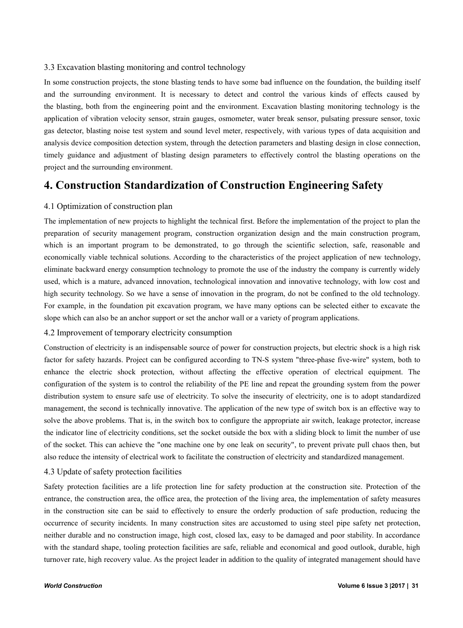### 3.3 Excavation blasting monitoring and control technology

In some construction projects, the stone blasting tends to have some bad influence on the foundation, the building itself and the surrounding environment. It is necessary to detect and control the various kinds of effects caused by the blasting, both from the engineering point and the environment. Excavation blasting monitoring technology is the application of vibration velocity sensor, strain gauges, osmometer, water break sensor, pulsating pressure sensor, toxic gas detector, blasting noise testsystem and sound level meter, respectively, with various types of data acquisition and analysis device composition detection system, through the detection parameters and blasting design in close connection, timely guidance and adjustment of blasting design parameters to effectively control the blasting operations on the project and the surrounding environment.

### **4. Construction Standardization of Construction Engineering Safety**

### 4.1 Optimization of construction plan

The implementation of new projects to highlight the technical first. Before the implementation of the project to plan the preparation of security management program, construction organization design and the main construction program, which is an important program to be demonstrated, to go through the scientific selection, safe, reasonable and economically viable technical solutions. According to the characteristics of the project application of new technology, eliminate backward energy consumption technology to promote the use of the industry the company is currently widely used, which is a mature, advanced innovation, technological innovation and innovative technology, with low cost and high security technology. So we have a sense of innovation in the program, do not be confined to the old technology. For example, in the foundation pit excavation program, we have many options can be selected either to excavate the slope which can also be an anchor support or set the anchor wall or a variety of program applications.

### 4.2 Improvement of temporary electricity consumption

Construction of electricity is an indispensable source of power for construction projects, but electric shock is a high risk factor for safety hazards. Project can be configured according to TN-S system "three-phase five-wire" system, both to enhance the electric shock protection, without affecting the effective operation of electrical equipment. The configuration of the system is to control the reliability of the PE line and repeatthe grounding system from the power distribution system to ensure safe use of electricity. To solve the insecurity of electricity, one is to adopt standardized management, the second is technically innovative. The application of the new type of switch box is an effective way to solve the above problems. That is, in the switch box to configure the appropriate air switch, leakage protector, increase the indicator line of electricity conditions, set the socket outside the box with a sliding block to limit the number of use of the socket. This can achieve the "one machine one by one leak on security", to prevent private pull chaos then, but also reduce the intensity of electrical work to facilitate the construction of electricity and standardized management.

### 4.3 Update of safety protection facilities

Safety protection facilities are a life protection line for safety production at the construction site. Protection of the entrance, the construction area, the office area, the protection of the living area, the implementation of safety measures in the construction site can be said to effectively to ensure the orderly production of safe production, reducing the occurrence of security incidents. In many construction sites are accustomed to using steel pipe safety net protection, neither durable and no construction image, high cost, closed lax, easy to be damaged and poor stability. In accordance with the standard shape, tooling protection facilities are safe, reliable and economical and good outlook, durable, high turnover rate, high recovery value. As the project leader in addition to the quality of integrated management should have